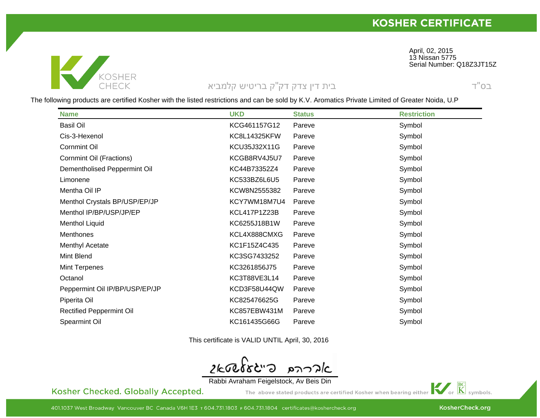April, 02, 2015<br>13 Niesen 577



## בית דין צדק דק"ק בריטיש קלמביא

Serial Number: Q18Z3JT15Z 13 Nissan 5775

 $T"$ O $\supseteq$ 

The following products are certified Kosher with the listed restrictions and can be sold by K.V. Aromatics Private Limited of Greater Noida, U.P

| <b>Name</b>                     | <b>UKD</b>   | <b>Status</b> | <b>Restriction</b> |
|---------------------------------|--------------|---------------|--------------------|
| <b>Basil Oil</b>                | KCG461157G12 | Pareve        | Symbol             |
| Cis-3-Hexenol                   | KC8L14325KFW | Pareve        | Symbol             |
| <b>Cornmint Oil</b>             | KCU35J32X11G | Pareve        | Symbol             |
| <b>Cornmint Oil (Fractions)</b> | KCGB8RV4J5U7 | Pareve        | Symbol             |
| Dementholised Peppermint Oil    | KC44B73352Z4 | Pareve        | Symbol             |
| Limonene                        | KC533BZ6L6U5 | Pareve        | Symbol             |
| Mentha Oil IP                   | KCW8N2555382 | Pareve        | Symbol             |
| Menthol Crystals BP/USP/EP/JP   | KCY7WM18M7U4 | Pareve        | Symbol             |
| Menthol IP/BP/USP/JP/EP         | KCL417P1Z23B | Pareve        | Symbol             |
| <b>Menthol Liquid</b>           | KC6255J18B1W | Pareve        | Symbol             |
| Menthones                       | KCL4X888CMXG | Pareve        | Symbol             |
| Menthyl Acetate                 | KC1F15Z4C435 | Pareve        | Symbol             |
| Mint Blend                      | KC3SG7433252 | Pareve        | Symbol             |
| Mint Terpenes                   | KC3261856J75 | Pareve        | Symbol             |
| Octanol                         | KC3T88VE3L14 | Pareve        | Symbol             |
| Peppermint Oil IP/BP/USP/EP/JP  | KCD3F58U44QW | Pareve        | Symbol             |
| Piperita Oil                    | KC825476625G | Pareve        | Symbol             |
| <b>Rectified Peppermint Oil</b> | KC857EBW431M | Pareve        | Symbol             |
| Spearmint Oil                   | KC161435G66G | Pareve        | Symbol             |

This certificate is VALID UNTIL April, 30, 2016

 $C$ "Sabast 2 אדרהם

Rabbi Avraham Feigelstock, Av Beis Din

Kosher Checked. Globally Accepted.

 $\mathbf{K}$  or  $\overline{\mathbf{K}}$  symbols. The above stated products are certified Kosher when bearing either

KosherCheck.org

401.1037 West Broadway Vancouver BC Canada V6H 1E3 T 604.731.1803 F 604.731.1804 certificates@koshercheck.org